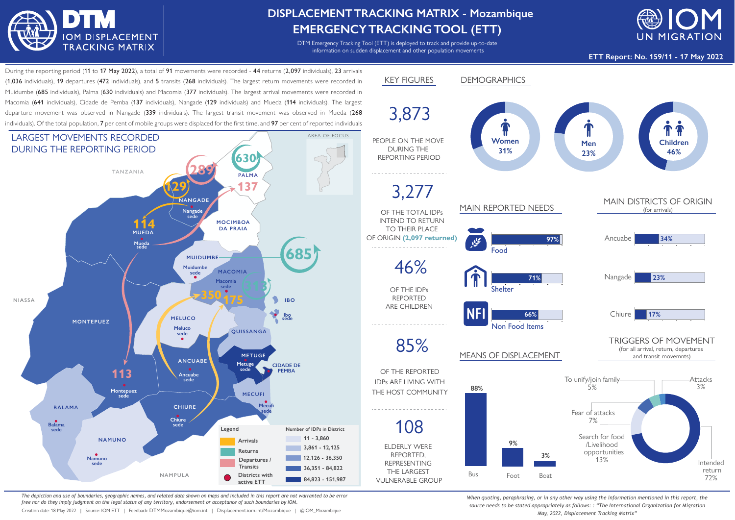

## **DISPLACEMENTTRACKING MATRIX - Mozambique EMERGENCYTRACKINGTOOL (ETT)**

DTM Emergency Tracking Tool (ETT) is deployed to track and provide up-to-date information on sudden displacement and other population movements



**ETT Report: No. 159/11 - 17 May 2022**

During the reporting period (11 to 17 May 2022), a total of 91 movements were recorded - 44 returns (2,097 individuals), 23 arrivals (1,036 individuals), 19 departures (472 individuals), and 5 transits (268 individuals). The largest return movements were recorded in Muidumbe (685 individuals), Palma (630 individuals) and Macomia (377 individuals). The largest arrival movements were recorded in Macomia (641 individuals), Cidade de Pemba (137 individuals), Nangade (129 individuals) and Mueda (114 individuals). The largest departure movement was observed in Nangade (339 individuals). The largest transit movement was observed in Mueda (268 individuals). Of the total population, 7 per cent of mobile groups were displaced for the first time, and 97 per cent of reported individuals



*The depiction and use of boundaries, geographic names, and related data shown on maps and included in this report are not warranted to be error free nor do they imply judgment on the legal status of any territory, endorsement or acceptance of such boundaries by IOM.*

Creation date: 18 May 2022 | Source: IOM ETT | Feedback: DTMMozambique@iom.int | Displacement.iom.int/Mozambique | @IOM\_Mozambique



*When quoting, paraphrasing, or in any other way using the information mentioned in this report, the source needs to be stated appropriately as follows: : "The International Organization for Migration May, 2022, Displacement Tracking Matrix"*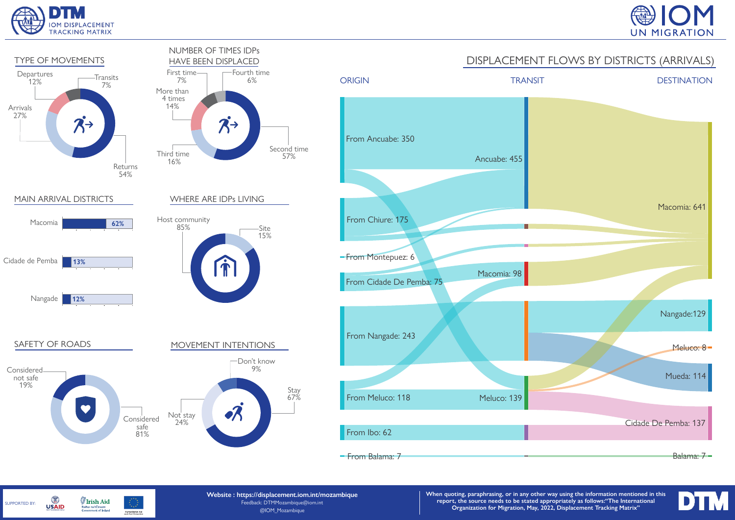

SUPPORTED BY:

G

**USAID** 

**Irish Aid** 

Rialtas na hÉireann<br>Government of Ireland

Humanitarian Aid<br>and Civil Protection





**Website : https://displacement.iom.int/mozambique** Feedback: DTMMozambique@iom.int @IOM\_Mozambique

**When quoting, paraphrasing, or in any other way using the information mentioned in this report, the source needs to be stated appropriately as follows:"The International Organization for Migration, May, 2022, Displacement Tracking Matrix"**